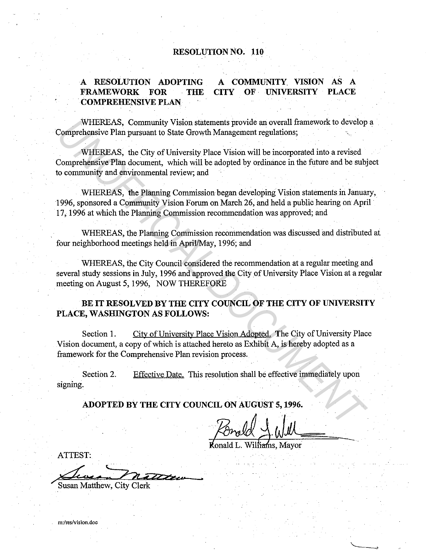#### **RESOLUTION NO. 110**

#### **A RESOLUTION ADOPTING FRAMEWORK FOR THE COMPREHENSIVE PLAN A COMMUNITY VISION** AS A **CITY OF UNIVERSITY PLACE**

WHEREAS, Community Vision statements provide an overall framework to develop a Comprehensive Plan pursuant to State Growth Management regulations;

·WHEREAS, the City of University Place Vision will be incorporated into a revised Comprehensive Plan document, which will be adopted by ordinance in the future and be subject to community and environmental review; and

WHEREAS, the Planning Commission began developing Vision statements in January, ·1996, sponsored a Community Vision Forum on March 26, and held a public hearing on April 17, 1996 at which the Planning Commission recommendation was approved; and

WHEREAS, the Planning Commission recommendation was discussed and distributed at four neighborhood meetings held in April/May, 1996; and

WHEREAS, the City Council considered the recommendation at a regular meeting and several study sessions in July, 1996 and approved the City of University Place Vision at a regular meeting on August 5, 1996, NOW THEREFORE

**BE IT RESOLVED BY THE CITY COUNCIL OF THE CITY OF UNIVERSITY**  PLACE, WASHINGTON AS FOLLOWS:

Section 1. City of University Place Vision Adopted. The City of University Place Vision document, a copy of which is attached hereto as Exhibit A, is hereby adopted as a framework for the Comprehensive Plan revision process. WHEREAS, Community Vision statements provide an overall framework to develop<br>
Uniprehensive Plan pursuant to State Growth Management regulations;<br>
WHEREAS, the City of University Place Vision will be incorporated into a re

Section 2. signing. Effective Date. This resolution shall be effective immediately upon

**ADOPTED BY THE CITY COUNCIL ON AUGUST 5, 1996.** 

,<br>ns. Mavor

ATTEST:

Susan Matthew, City Clerk

**m:/res/vision.doc**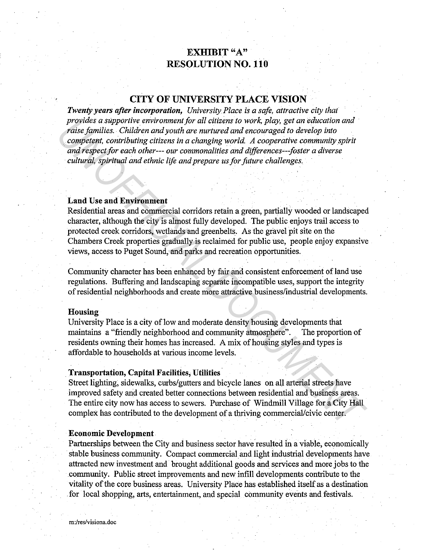# EXHIBIT "A" RESOLUTION NO. 110

# CITY OF UNIVERSITY PLACE VISION

*Twenty years after incorporation, University Place is a safe, attractive city that provides a supportive environment for all citizens to work, play, get an education and raise families. Children and youth are nurtured and encouraged to develop into competent, contributing citizens in a changing world. A cooperative community spirit and respect for each other--- our commonalities and differences---foster a diverse cultural, spiritual and ethnic life and prepare us for future challenges.* 

#### Land Use and Environment

Residential areas and commercial corridors retain a green, partially wooded or landscaped character, although the city is almost fully developed. The public enjoys trail access to protected creek corridors, wetlands and greenbelts. As the gravel pit site on the Chambers Creek properties gradually is reclaimed for public use, people enjoy expansive views, access to Puget Sound, and parks and recreation opportunities. *provides a supportive environment for all citizens to work, play, get an education and<br>raise families. Children and youth are nurtured and encouraged to develop into<br>competent, contributing citizens in a changing world. A* 

Community character has been enhanced by fair and consistent enforcement of land use regulations. Buffering and landscaping separate incompatible uses, support the integrity of residential neighborhoods and create more attractive business/industrial developments.

#### Housing

University Place is a city of low and moderate density housing developments that maintains a "friendly neighborhood and community atmosphere". The proportion of residents owning their homes has increased. A mix of housing styles and types is affordable to households at various income levels.

#### Transportation, Capital Facilities, Utilities·

Street lighting, sidewalks, curbs/gutters and bicycle lanes on all arterial streets have improved safety and created better connections between residential and business areas. The entire city now has access to sewers. Purchase of Windmill Village for a City Hall complex has contributed to the development of a thriving commercial/civic center.

#### Economic Development

Partnerships between the City and business sector have resulted in a viable, economically stable business community. Compact commercial and light industrial developments have attracted new investment and· brought additional goods and services and more jobs to the community. Public street improvements and new infill developments contribute to the vitality of the core business areas. University Place has established itself as a destination . for local shopping, arts, entertainment, and special community events and festivals.